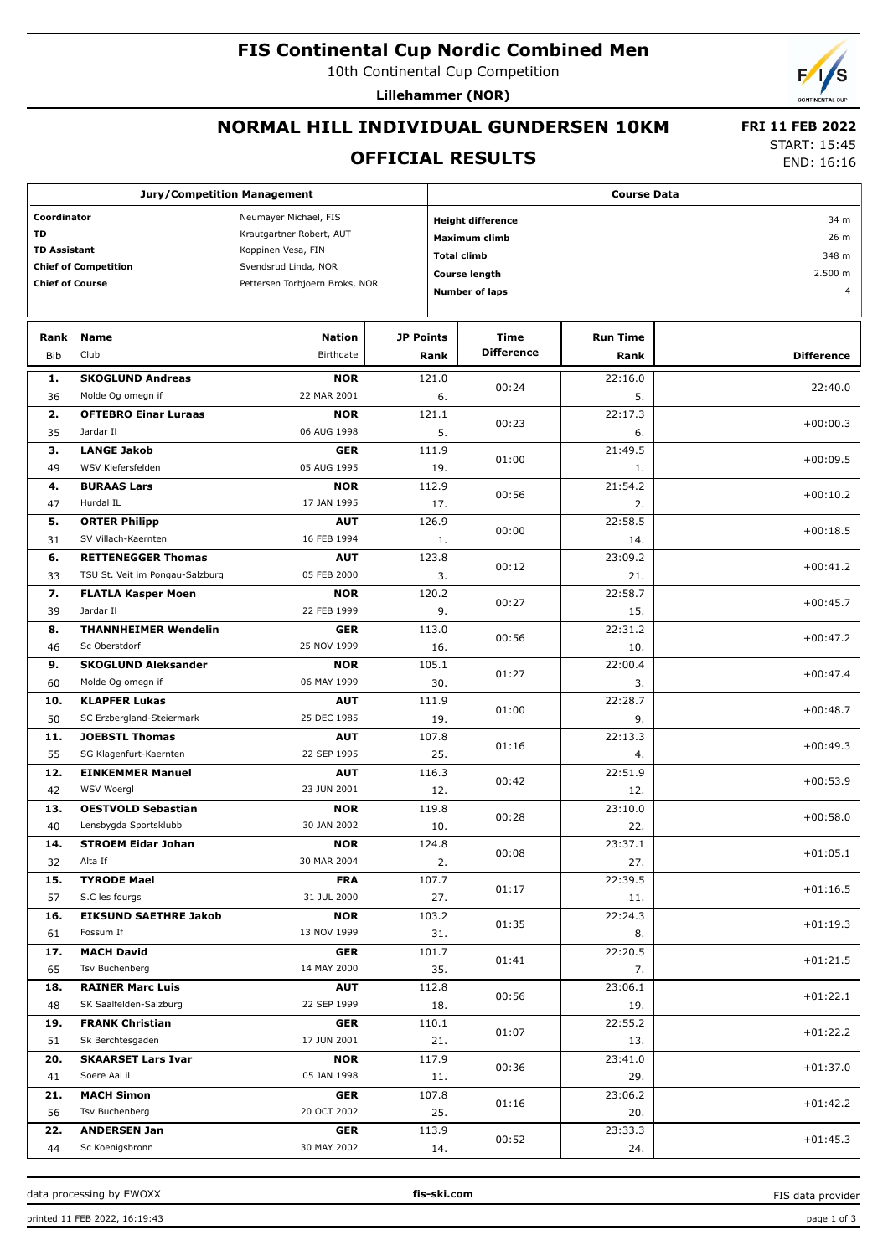## **FIS Continental Cup Nordic Combined Men**

10th Continental Cup Competition

**Lillehammer (NOR)**

# **NORMAL HILL INDIVIDUAL GUNDERSEN 10KM**

 **FRI 11 FEB 2022**

## **OFFICIAL RESULTS**

START: 15:45

END: 16:16

| <b>Jury/Competition Management</b>   |                                     |                                |                       | <b>Course Data</b>    |                                     |                 |                   |  |  |
|--------------------------------------|-------------------------------------|--------------------------------|-----------------------|-----------------------|-------------------------------------|-----------------|-------------------|--|--|
| Coordinator<br>Neumayer Michael, FIS |                                     |                                |                       |                       | <b>Height difference</b>            | 34 m            |                   |  |  |
| <b>TD</b>                            |                                     | Krautgartner Robert, AUT       |                       |                       | 26 m                                |                 |                   |  |  |
| <b>TD Assistant</b>                  |                                     | Koppinen Vesa, FIN             |                       |                       | Maximum climb<br><b>Total climb</b> |                 |                   |  |  |
|                                      | <b>Chief of Competition</b>         | Svendsrud Linda, NOR           |                       |                       |                                     | 348 m           |                   |  |  |
| <b>Chief of Course</b>               |                                     | Pettersen Torbjoern Broks, NOR |                       |                       | <b>Course length</b>                |                 | 2.500 m<br>4      |  |  |
|                                      |                                     |                                | <b>Number of laps</b> |                       |                                     |                 |                   |  |  |
| Rank                                 | <b>Name</b>                         | <b>Nation</b>                  | <b>JP Points</b>      |                       | Time                                | <b>Run Time</b> |                   |  |  |
| <b>Bib</b>                           | Club                                | Birthdate                      |                       | Rank                  | <b>Difference</b>                   | Rank            | <b>Difference</b> |  |  |
| 1.                                   | <b>SKOGLUND Andreas</b>             | <b>NOR</b>                     |                       |                       |                                     | 22:16.0         |                   |  |  |
| 36                                   | Molde Og omegn if                   | 22 MAR 2001                    | 121.0                 |                       | 00:24<br>6.                         | 5.              | 22:40.0           |  |  |
| 2.                                   | <b>OFTEBRO Einar Luraas</b>         | <b>NOR</b>                     | 121.1                 |                       |                                     | 22:17.3         |                   |  |  |
| 35                                   | Jardar II                           | 06 AUG 1998                    |                       | 5.                    | 00:23                               | 6.              | $+00:00.3$        |  |  |
| 3.                                   | <b>LANGE Jakob</b>                  | <b>GER</b>                     |                       | 111.9                 |                                     | 21:49.5         |                   |  |  |
| 49                                   | WSV Kiefersfelden                   | 05 AUG 1995                    |                       | 19.                   | 01:00                               | 1.              | $+00:09.5$        |  |  |
| 4.                                   | <b>BURAAS Lars</b>                  | <b>NOR</b>                     |                       | 112.9                 |                                     | 21:54.2         |                   |  |  |
| 47                                   | Hurdal IL                           | 17 JAN 1995                    |                       | 17.                   | 00:56                               | 2.              | $+00:10.2$        |  |  |
| 5.                                   | <b>ORTER Philipp</b>                | <b>AUT</b>                     |                       | 126.9                 |                                     | 22:58.5         |                   |  |  |
| 31                                   | SV Villach-Kaernten                 | 16 FEB 1994                    |                       | 1.                    | 00:00                               | 14.             | $+00:18.5$        |  |  |
| 6.                                   | <b>RETTENEGGER Thomas</b>           | <b>AUT</b>                     |                       | 123.8                 |                                     | 23:09.2         |                   |  |  |
| 33                                   | TSU St. Veit im Pongau-Salzburg     | 05 FEB 2000                    |                       | 3.                    | 00:12                               | 21.             | $+00:41.2$        |  |  |
| 7.                                   | <b>FLATLA Kasper Moen</b>           | <b>NOR</b>                     |                       | 120.2                 |                                     | 22:58.7         |                   |  |  |
| 39                                   | Jardar II                           | 22 FEB 1999                    |                       | 9.                    | 00:27                               | 15.             | $+00:45.7$        |  |  |
| 8.                                   | <b>THANNHEIMER Wendelin</b>         | <b>GER</b>                     |                       | 113.0                 |                                     | 22:31.2         |                   |  |  |
| 46                                   | Sc Oberstdorf                       | 25 NOV 1999                    |                       | 16.                   | 00:56                               | 10.             | $+00:47.2$        |  |  |
| 9.                                   | <b>SKOGLUND Aleksander</b>          | <b>NOR</b>                     |                       | 105.1                 |                                     | 22:00.4         |                   |  |  |
| 60                                   | Molde Og omegn if                   | 06 MAY 1999                    |                       | 30.                   | 01:27                               | 3.              | $+00:47.4$        |  |  |
| 10.                                  | <b>KLAPFER Lukas</b>                | <b>AUT</b>                     |                       | 111.9                 |                                     | 22:28.7         |                   |  |  |
| 50                                   | SC Erzbergland-Steiermark           | 25 DEC 1985                    |                       | 19.                   | 01:00                               | 9.              | $+00:48.7$        |  |  |
| 11.                                  | <b>JOEBSTL Thomas</b>               | <b>AUT</b>                     |                       | 107.8                 |                                     | 22:13.3         |                   |  |  |
| 55                                   | SG Klagenfurt-Kaernten              | 22 SEP 1995                    |                       | 25.                   | 01:16                               | 4.              | $+00:49.3$        |  |  |
| 12.                                  | <b>EINKEMMER Manuel</b>             | <b>AUT</b>                     |                       | 116.3                 |                                     | 22:51.9         |                   |  |  |
| 42                                   | WSV Woergl                          | 23 JUN 2001                    |                       | 12.                   | 00:42                               | 12.             | $+00:53.9$        |  |  |
| 13.                                  | <b>OESTVOLD Sebastian</b>           | <b>NOR</b>                     |                       | 119.8                 | 00:28                               | 23:10.0         | $+00:58.0$        |  |  |
| 40                                   | Lensbygda Sportsklubb               | 30 JAN 2002                    |                       | 10.                   |                                     | 22.             |                   |  |  |
| 14.                                  | <b>STROEM Eidar Johan</b>           | <b>NOR</b>                     |                       | 124.8                 | 00:08                               | 23:37.1         | $+01:05.1$        |  |  |
| 32                                   | Alta If                             | 30 MAR 2004                    |                       | 2.                    |                                     | 27.             |                   |  |  |
| 15.                                  | <b>TYRODE Mael</b>                  | <b>FRA</b>                     |                       | 107.7                 | 01:17                               | 22:39.5         | $+01:16.5$        |  |  |
| 57                                   | S.C les fourgs                      | 31 JUL 2000                    |                       | 27.                   |                                     | 11.             |                   |  |  |
| 16.                                  | <b>EIKSUND SAETHRE Jakob</b>        | <b>NOR</b>                     |                       | 103.2                 | 01:35                               | 22:24.3         | $+01:19.3$        |  |  |
| 61                                   | Fossum If                           | 13 NOV 1999                    |                       | 31.                   |                                     | 8.              |                   |  |  |
| 17.                                  | <b>MACH David</b>                   | <b>GER</b>                     |                       | 101.7                 | 01:41                               | 22:20.5         | $+01:21.5$        |  |  |
| 65                                   | Tsv Buchenberg                      | 14 MAY 2000                    |                       | 35.                   |                                     | 7.              |                   |  |  |
| 18.                                  | <b>RAINER Marc Luis</b>             | <b>AUT</b>                     |                       | 112.8                 | 00:56                               | 23:06.1         | $+01:22.1$        |  |  |
| 48                                   | SK Saalfelden-Salzburg              | 22 SEP 1999                    |                       | 18.                   |                                     | 19.             |                   |  |  |
| 19.                                  | <b>FRANK Christian</b>              | <b>GER</b>                     |                       | 110.1<br>01:07<br>21. |                                     | 22:55.2         | $+01:22.2$        |  |  |
| 51                                   | Sk Berchtesgaden                    | 17 JUN 2001                    |                       |                       |                                     | 13.             |                   |  |  |
| 20.                                  | <b>SKAARSET Lars Ivar</b>           | <b>NOR</b>                     |                       | 117.9                 | 00:36                               | 23:41.0         | $+01:37.0$        |  |  |
| 41                                   | Soere Aal il                        | 05 JAN 1998                    |                       | 11.                   |                                     | 29.             |                   |  |  |
| 21.<br>56                            | <b>MACH Simon</b><br>Tsv Buchenberg | <b>GER</b><br>20 OCT 2002      |                       | 107.8<br>25.          | 01:16                               | 23:06.2<br>20.  | $+01:42.2$        |  |  |
| 22.                                  | <b>ANDERSEN Jan</b>                 | <b>GER</b>                     |                       | 113.9                 |                                     | 23:33.3         |                   |  |  |
| 44                                   | Sc Koenigsbronn                     | 30 MAY 2002                    |                       | 14.                   | 00:52                               | 24.             | $+01:45.3$        |  |  |

data processing by EWOXX **fis-ski.com**

FIS data provider

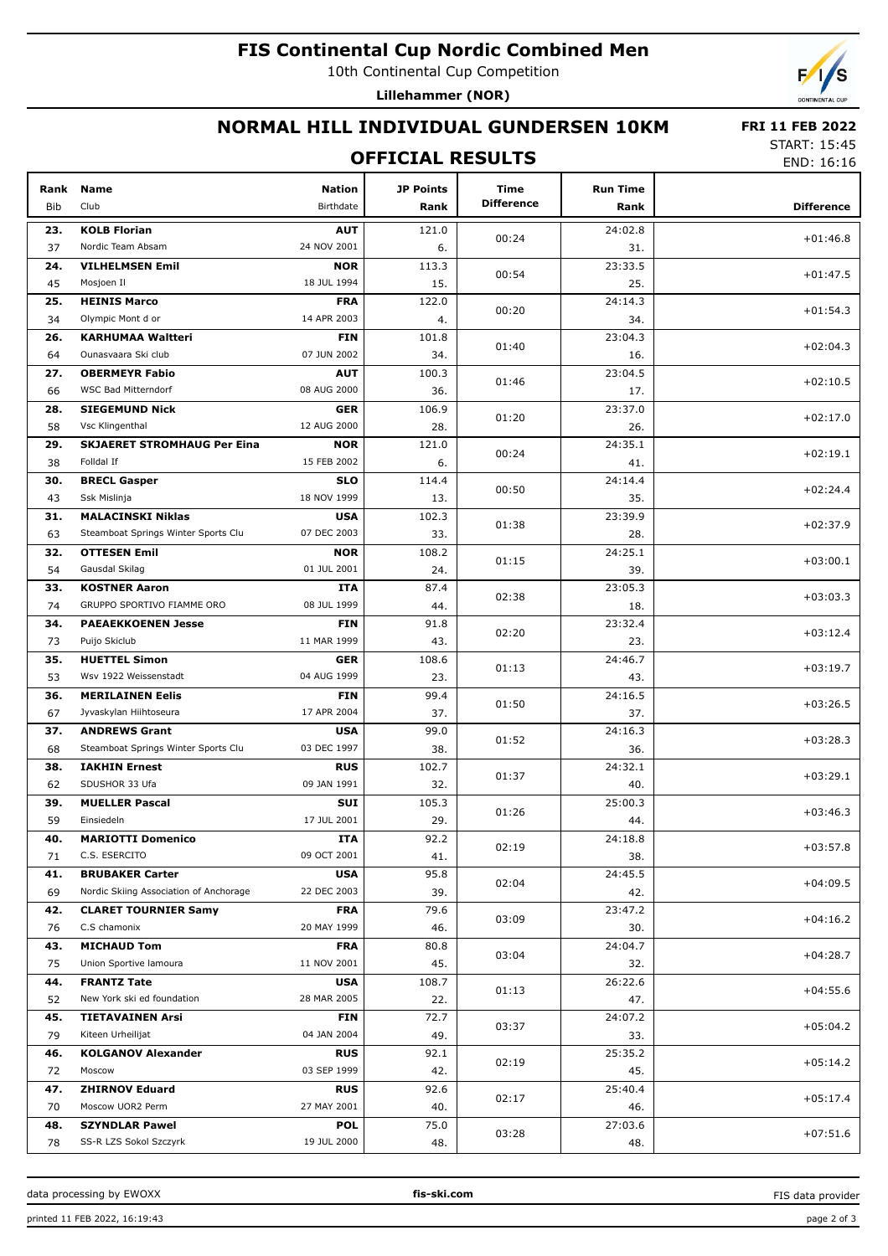### **FIS Continental Cup Nordic Combined Men**

10th Continental Cup Competition

**Lillehammer (NOR)**

# **NORMAL HILL INDIVIDUAL GUNDERSEN 10KM**

START: 15:45 END: 16:16

 **FRI 11 FEB 2022**

### **OFFICIAL RESULTS** Bib **Name** Club Birthdate **Rank Nation Time JP Points Difference Difference Run Time Rank Rank KOLB Florian 23.** 121.0 Nordic Team Absam 37 24 NOV 2001 **AUT** 00:24 24:02.8 31. +01:46.8 6. **VILHELMSEN Emil 24.** 113.3 Mosjoen Il **NOR** 45 18 JUL 1994  $00.54$ 23:33.5  $25$  $+01.47.5$ 15. **HEINIS Marco 25.** 122.0 Olympic Mont d or 34 14 APR 2003 **FRA** 00:20 24:14.3 34. +01:54.3 4. **KARHUMAA Waltteri 26.** 101.8 Ounasvaara Ski club 64 07 JUN 2002 **FIN** 01:40  $23.04.3$ 16. +02:04.3 34. **OBERMEYR Fabio 27.** 100.3 WSC Bad Mitterndorf 66 08 AUG 2000 **AUT** 01:46 23:04.5 17. +02:10.5 36. **SIEGEMUND Nick 28.** 106.9 Vsc Klingenthal 58 12 AUG 2000 **GER** 01:20 23:37.0 26. +02:17.0 28. **29. SKJAERET STROMHAUG Per Eina NOR** | 121.0 Folldal If **NOR** 38 15 FEB 2002 00:24 24:35.1 41.  $+02:19.1$ 6. **BRECL Gasper 30.** 114.4 Ssk Mislinja **SLO** 43 18 NOV 1999 00:50 24:14.4 35. +02:24.4 13. **MALACINSKI Niklas 31.** 102.3 Steamboat Springs Winter Sports Clu 63 07 DEC 2003 **USA**  $01.38$ 23:39.9 28.  $+02.37.9$ 33. **OTTESEN Emil 32.** 108.2 Gausdal Skilag 54 01 JUL 2001 **NOR** 01:15  $74.25.1$ 39. +03:00.1 24. **KOSTNER Aaron 33.** 87.4 GRUPPO SPORTIVO FIAMME ORO 74 08 JUL 1999 **ITA**  $02.38$ 23:05.3 18.  $+03.03.3$ 44. **PAEAEKKOENEN Jesse 34.** 91.8 Puijo Skiclub **FIN** 73 Puijo Skiclub 11 MAR 1999 02:20 23:32.4 23. +03:12.4 43. **HUETTEL Simon 35.** 108.6 Wsv 1922 Weissenstadt 53 04 AUG 1999 **GER**  $01:13$  $74.46.7$ 43.  $+03.19.7$ 23. **MERILAINEN Eelis 36.** 99.4 Jyvaskylan Hiihtoseura 67 17 APR 2004 **FIN** 01:50 24:16.5 37. +03:26.5 37. **ANDREWS Grant** (199.0 ) and the set of the set of the set of the set of the set of the set of the set of the set of the set of the set of the set of the set of the set of the set of the set of the set of the set of the se Steamboat Springs Winter Sports Clu 68 03 DEC 1997 **USA** 01:52  $24.16.3$ 36. +03:28.3 38. **IAKHIN Ernest 38.** 102.7 SDUSHOR 33 Ufa 62 09 JAN 1991 **RUS** 01:37 24:32.1 40. +03:29.1 32. **MUELLER Pascal 39.** 105.3 Einsiedeln **SUI** 59 17 JUL 2001 01:26 25:00.3 44. +03:46.3 29. **MARIOTTI Domenico 40.** 92.2 C.S. ESERCITO 71 09 OCT 2001 **ITA**  $02.19$ 24:18.8 38.  $+03.57.8$ 41. **BRUBAKER Carter 41.** 95.8 Nordic Skiing Association of Anchorage 69 22 DEC 2003 **USA** 02:04 24:45.5 42. +04:09.5 39. **CLARET TOURNIER Samy 42.** 79.6 C.S chamonix 76 20 MAY 1999 **FRA** 03:09 23:47.2 30.  $+04.16.2$ 46. **MICHAUD Tom 43.** 80.8 Union Sportive lamoura 75 11 NOV 2001 **FRA** 03:04 24:04.7 32. +04:28.7 45. **FRANTZ Tate 44.** 108.7 New York ski ed foundation 52 28 MAR 2005 **USA**  $01:13$  $26.226$ 47.  $+04.556$  $22.2$ **TIETAVAINEN Arsi 45.** 72.7 Kiteen Urheilijat **FIN** 79 04 JAN 2004 03:37 24:07.2 33. +05:04.2 49. **KOLGANOV Alexander 46.** 92.1 Moscow **RUS** 72 03 SEP 1999  $02.19$  $75.35.2$ 45.  $+05:14.2$ 42. **ZHIRNOV Eduard 47.** 92.6 Moscow UOR2 Perm 70 27 MAY 2001 **RUS** 02:17 25:40.4 46. +05:17.4  $40<sub>0</sub>$ **SZYNDLAR Pawel 48.** 75.0 SS-R LZS Sokol Szczyrk 78 19 JUL 2000 **POL** 03:28  $27:03.6$ 48. +07:51.6 48.

data processing by EWOXX **fis-ski.com**

FIS data provider